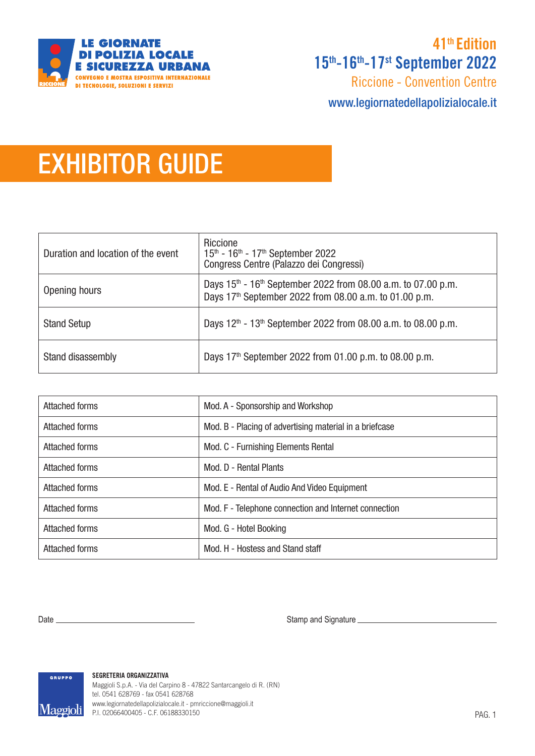

# 15th-16th-17st September 2022 41<sup>th</sup> Edition

Riccione - Convention Centre

www.legiornatedellapolizialocale.it

# EXHIBITOR GUIDE

| Duration and location of the event | Riccione<br>15th - 16th - 17th September 2022<br>Congress Centre (Palazzo dei Congressi)                                                |
|------------------------------------|-----------------------------------------------------------------------------------------------------------------------------------------|
| Opening hours                      | Days $15th$ - $16th$ September 2022 from 08.00 a.m. to 07.00 p.m.<br>Days 17 <sup>th</sup> September 2022 from 08.00 a.m. to 01.00 p.m. |
| <b>Stand Setup</b>                 | Days 12 <sup>th</sup> - 13 <sup>th</sup> September 2022 from 08.00 a.m. to 08.00 p.m.                                                   |
| Stand disassembly                  | Days 17 <sup>th</sup> September 2022 from 01.00 p.m. to 08.00 p.m.                                                                      |

| Attached forms        | Mod. A - Sponsorship and Workshop                       |
|-----------------------|---------------------------------------------------------|
| <b>Attached forms</b> | Mod. B - Placing of advertising material in a briefcase |
| <b>Attached forms</b> | Mod. C - Furnishing Elements Rental                     |
| <b>Attached forms</b> | Mod. D - Rental Plants                                  |
| <b>Attached forms</b> | Mod. E - Rental of Audio And Video Equipment            |
| <b>Attached forms</b> | Mod. F - Telephone connection and Internet connection   |
| <b>Attached forms</b> | Mod. G - Hotel Booking                                  |
| Attached forms        | Mod. H - Hostess and Stand staff                        |

Date Stamp and Signature



**SEGRETERIA ORGANIZZATIVA** Maggioli S.p.A. - Via del Carpino 8 - 47822 Santarcangelo di R. (RN) tel. 0541 628769 - fax 0541 628768 www.legiornatedellapolizialocale.it - pmriccione@maggioli.it P.I. 02066400405 - C.F. 06188330150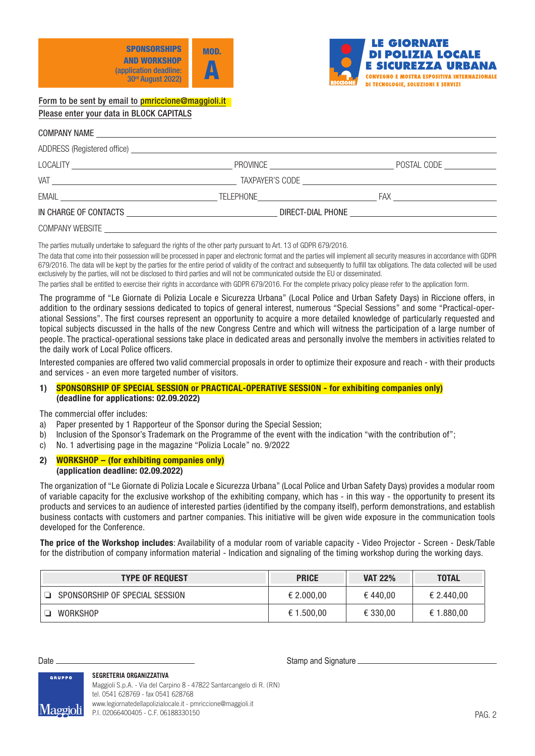



# COMPANY NAME ADDRESS (Registered office) LOCALITY PROVINCE POSTAL CODE VAT UNIT CONTROL CONTROL CONTROL CONTROL CONTROL CONTROL CONTROL CONTROL CONTROL CONTROL CONTROL CONTROL CONTROL CONTROL CONTROL CONTROL CONTROL CONTROL CONTROL CONTROL CONTROL CONTROL CONTROL CONTROL CONTROL CONTROL CONTR EMAIL TELEPHONE FAX IN CHARGE OF CONTACTS DIRECT-DIAL PHONE COMPANY WEBSITE

The parties mutually undertake to safeguard the rights of the other party pursuant to Art. 13 of GDPR 679/2016.

The data that come into their possession will be processed in paper and electronic format and the parties will implement all security measures in accordance with GDPR 679/2016. The data will be kept by the parties for the entire period of validity of the contract and subsequently to fulfill tax obligations. The data collected will be used exclusively by the parties, will not be disclosed to third parties and will not be communicated outside the EU or disseminated.

The parties shall be entitled to exercise their rights in accordance with GDPR 679/2016. For the complete privacy policy please refer to the application form.

The programme of "Le Giornate di Polizia Locale e Sicurezza Urbana" (Local Police and Urban Safety Days) in Riccione offers, in addition to the ordinary sessions dedicated to topics of general interest, numerous "Special Sessions" and some "Practical-operational Sessions". The first courses represent an opportunity to acquire a more detailed knowledge of particularly requested and topical subjects discussed in the halls of the new Congress Centre and which will witness the participation of a large number of people. The practical-operational sessions take place in dedicated areas and personally involve the members in activities related to the daily work of Local Police officers.

Interested companies are offered two valid commercial proposals in order to optimize their exposure and reach - with their products and services - an even more targeted number of visitors.

## 1) SPONSORSHIP OF SPECIAL SESSION or PRACTICAL-OPERATIVE SESSION - for exhibiting companies only) (deadline for applications: 02.09.2022)

The commercial offer includes:

- a) Paper presented by 1 Rapporteur of the Sponsor during the Special Session;
- b) Inclusion of the Sponsor's Trademark on the Programme of the event with the indication "with the contribution of";
- c) No. 1 advertising page in the magazine "Polizia Locale" no. 9/2022
- 2) WORKSHOP (for exhibiting companies only) (application deadline: 02.09.2022)

The organization of "Le Giornate di Polizia Locale e Sicurezza Urbana" (Local Police and Urban Safety Days) provides a modular room of variable capacity for the exclusive workshop of the exhibiting company, which has - in this way - the opportunity to present its products and services to an audience of interested parties (identified by the company itself), perform demonstrations, and establish business contacts with customers and partner companies. This initiative will be given wide exposure in the communication tools developed for the Conference.

The price of the Workshop includes: Availability of a modular room of variable capacity - Video Projector - Screen - Desk/Table for the distribution of company information material - Indication and signaling of the timing workshop during the working days.

| <b>TYPE OF REQUEST</b>         | <b>PRICE</b> | <b>VAT 22%</b> | <b>TOTAL</b> |
|--------------------------------|--------------|----------------|--------------|
| SPONSORSHIP OF SPECIAL SESSION | € 2.000,00   | €440.00        | € 2.440,00   |
| WORKSHOP                       | € 1.500,00   | € 330,00       | € 1.880,00   |

#### **SEGRETERIA ORGANIZZATIVA**

Date Stamp and Signature

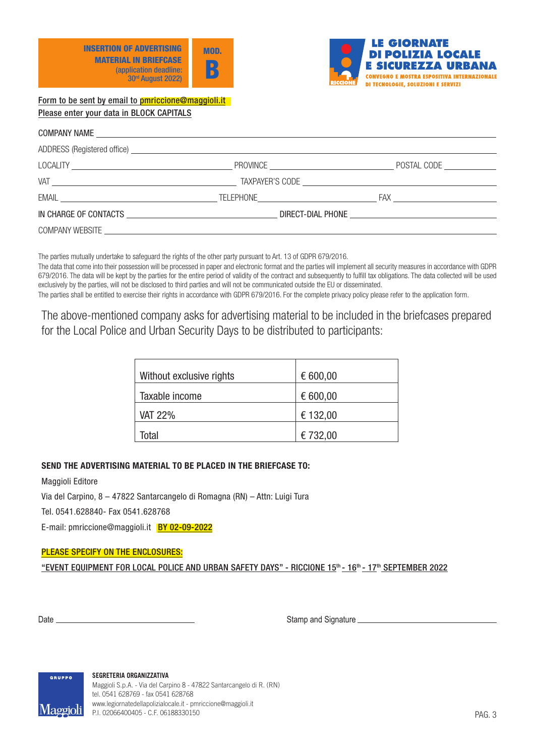



The parties mutually undertake to safeguard the rights of the other party pursuant to Art. 13 of GDPR 679/2016.

The data that come into their possession will be processed in paper and electronic format and the parties will implement all security measures in accordance with GDPR 679/2016. The data will be kept by the parties for the entire period of validity of the contract and subsequently to fulfill tax obligations. The data collected will be used exclusively by the parties, will not be disclosed to third parties and will not be communicated outside the EU or disseminated.

The parties shall be entitled to exercise their rights in accordance with GDPR 679/2016. For the complete privacy policy please refer to the application form.

The above-mentioned company asks for advertising material to be included in the briefcases prepared for the Local Police and Urban Security Days to be distributed to participants:

| Without exclusive rights | € 600,00 |
|--------------------------|----------|
| Taxable income           | € 600,00 |
| <b>VAT 22%</b>           | € 132,00 |
| Total                    | € 732,00 |

# SEND THE ADVERTISING MATERIAL TO BE PLACED IN THE BRIEFCASE TO:

Maggioli Editore

Via del Carpino, 8 – 47822 Santarcangelo di Romagna (RN) – Attn: Luigi Tura

Tel. 0541.628840- Fax 0541.628768

E-mail: pmriccione@maggioli.it BY 02-09-2022

### PLEASE SPECIFY ON THE ENCLOSURES:

"EVENT EQUIPMENT FOR LOCAL POLICE AND URBAN SAFETY DAYS" - RICCIONE 15<sup>th</sup> - 16<sup>th</sup> - 17<sup>th</sup> SEPTEMBER 2022

Date Stamp and Signature

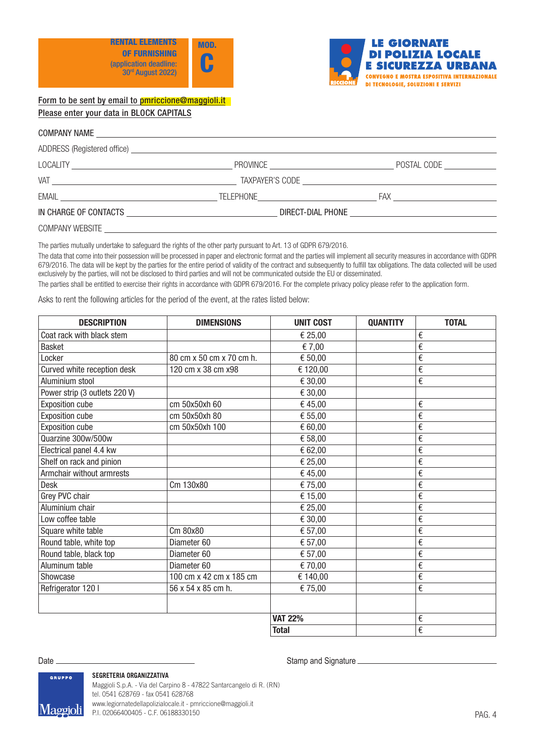



#### COMPANY NAME

|                                                   | ADDRESS (Registered office) <b>Example 20</b> Seconds 20 Seconds 20 Seconds 20 Seconds 20 Seconds 20 Seconds 20 Seconds 20 Seconds 20 Seconds 20 Seconds 20 Seconds 20 Seconds 20 Seconds 20 Seconds 20 Seconds 20 Seconds 20 Secon |                             |
|---------------------------------------------------|-------------------------------------------------------------------------------------------------------------------------------------------------------------------------------------------------------------------------------------|-----------------------------|
|                                                   |                                                                                                                                                                                                                                     | POSTAL CODE _______________ |
|                                                   |                                                                                                                                                                                                                                     |                             |
|                                                   |                                                                                                                                                                                                                                     |                             |
| IN CHARGE OF CONTACTS AND ACCOUNT OF THE CONTACTS |                                                                                                                                                                                                                                     |                             |
| <b>COMPANY WEBSITE</b>                            |                                                                                                                                                                                                                                     |                             |

The parties mutually undertake to safeguard the rights of the other party pursuant to Art. 13 of GDPR 679/2016.

The data that come into their possession will be processed in paper and electronic format and the parties will implement all security measures in accordance with GDPR 679/2016. The data will be kept by the parties for the entire period of validity of the contract and subsequently to fulfill tax obligations. The data collected will be used exclusively by the parties, will not be disclosed to third parties and will not be communicated outside the EU or disseminated.

The parties shall be entitled to exercise their rights in accordance with GDPR 679/2016. For the complete privacy policy please refer to the application form.

Asks to rent the following articles for the period of the event, at the rates listed below:

| <b>DESCRIPTION</b>            | <b>DIMENSIONS</b>        | <b>UNIT COST</b> | <b>QUANTITY</b> | <b>TOTAL</b>            |
|-------------------------------|--------------------------|------------------|-----------------|-------------------------|
| Coat rack with black stem     |                          | € 25,00          |                 | €                       |
| <b>Basket</b>                 |                          | € 7,00           |                 | €                       |
| Locker                        | 80 cm x 50 cm x 70 cm h. | € 50,00          |                 | €                       |
| Curved white reception desk   | 120 cm x 38 cm x98       | € 120,00         |                 | €                       |
| Aluminium stool               |                          | € 30,00          |                 | €                       |
| Power strip (3 outlets 220 V) |                          | € 30,00          |                 |                         |
| <b>Exposition cube</b>        | cm 50x50xh 60            | €45,00           |                 | €                       |
| <b>Exposition cube</b>        | cm 50x50xh 80            | € 55,00          |                 | €                       |
| <b>Exposition cube</b>        | cm 50x50xh 100           | € 60,00          |                 | €                       |
| Quarzine 300w/500w            |                          | € 58,00          |                 | €                       |
| Electrical panel 4.4 kw       |                          | € 62,00          |                 | €                       |
| Shelf on rack and pinion      |                          | € 25,00          |                 | €                       |
| Armchair without armrests     |                          | €45,00           |                 | €                       |
| <b>Desk</b>                   | Cm 130x80                | €75,00           |                 | €                       |
| Grey PVC chair                |                          | € 15,00          |                 | €                       |
| Aluminium chair               |                          | € 25,00          |                 | €                       |
| Low coffee table              |                          | € 30,00          |                 | €                       |
| Square white table            | Cm 80x80                 | € 57,00          |                 | €                       |
| Round table, white top        | Diameter 60              | € 57,00          |                 | €                       |
| Round table, black top        | Diameter 60              | € 57,00          |                 | €                       |
| Aluminum table                | Diameter 60              | € 70,00          |                 | €                       |
| Showcase                      | 100 cm x 42 cm x 185 cm  | € 140,00         |                 | €                       |
| Refrigerator 120 l            | 56 x 54 x 85 cm h.       | € 75,00          |                 | $\boldsymbol{\epsilon}$ |
|                               |                          |                  |                 |                         |
|                               |                          | <b>VAT 22%</b>   |                 | €                       |
|                               |                          | <b>Total</b>     |                 | €                       |

# Date Stamp and Signature

**GRUPPO** 

Maggioli

#### **SEGRETERIA ORGANIZZATIVA**

Maggioli S.p.A. - Via del Carpino 8 - 47822 Santarcangelo di R. (RN) tel. 0541 628769 - fax 0541 628768 www.legiornatedellapolizialocale.it - pmriccione@maggioli.it P.I. 02066400405 - C.F. 06188330150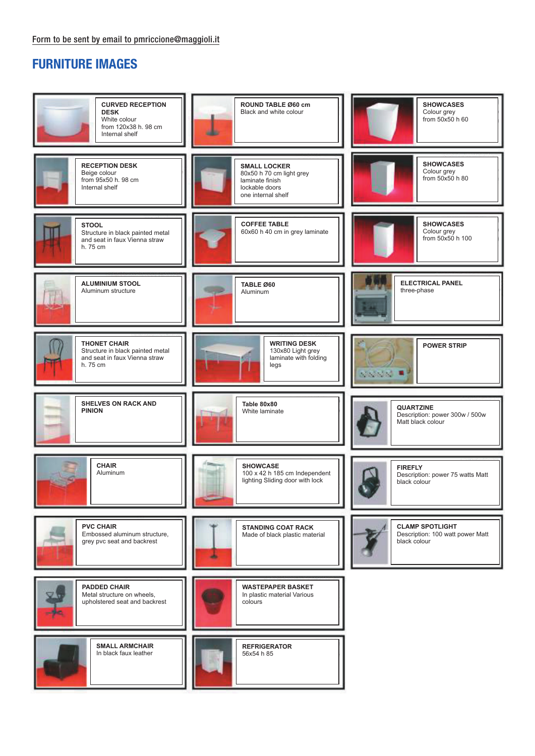# FURNITURE IMAGES

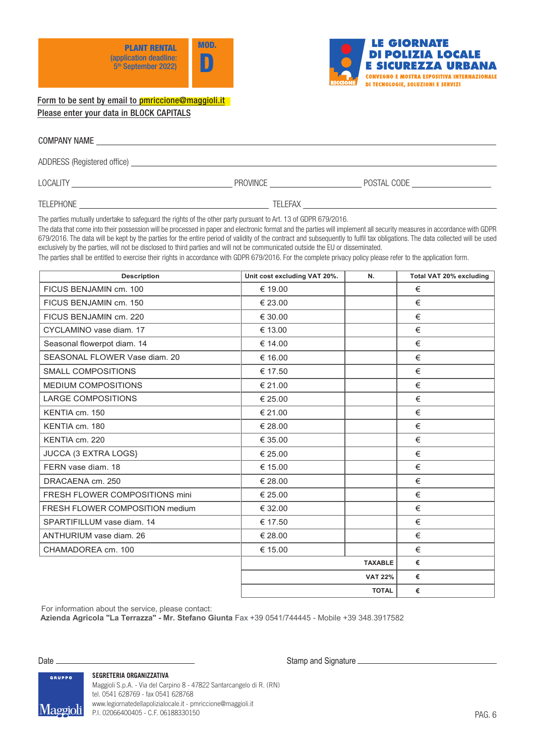



**Form to be sent by email to pmriccione@maggioli.it**

| <b>COMPANY NAME</b>         |  |  |
|-----------------------------|--|--|
| ADDRESS (Registered office) |  |  |

LOCALITY PROVINCE POSTAL CODE

TELEPHONE TELEFAX

The parties mutually undertake to safeguard the rights of the other party pursuant to Art. 13 of GDPR 679/2016.

The data that come into their possession will be processed in paper and electronic format and the parties will implement all security measures in accordance with GDPR 679/2016. The data will be kept by the parties for the entire period of validity of the contract and subsequently to fulfil tax obligations. The data collected will be used exclusively by the parties, will not be disclosed to third parties and will not be communicated outside the EU or disseminated.

The parties shall be entitled to exercise their rights in accordance with GDPR 679/2016. For the complete privacy policy please refer to the application form.

| <b>Description</b>              | Unit cost excluding VAT 20%. | N.             | Total VAT 20% excluding |
|---------------------------------|------------------------------|----------------|-------------------------|
| FICUS BENJAMIN cm. 100          | € 19.00                      |                | €                       |
| FICUS BENJAMIN cm. 150          | € 23.00                      |                | €                       |
| FICUS BENJAMIN cm. 220          | € 30.00                      |                | €                       |
| CYCLAMINO vase diam. 17         | € 13.00                      |                | €                       |
| Seasonal flowerpot diam. 14     | € 14.00                      |                | €                       |
| SEASONAL FLOWER Vase diam. 20   | € 16.00                      |                | €                       |
| <b>SMALL COMPOSITIONS</b>       | € 17.50                      |                | €                       |
| MEDIUM COMPOSITIONS             | € 21.00                      |                | €                       |
| <b>LARGE COMPOSITIONS</b>       | € 25.00                      |                | $\in$                   |
| KENTIA cm. 150                  | € 21.00                      |                | €                       |
| KENTIA cm. 180                  | € 28.00                      |                | €                       |
| KENTIA cm. 220                  | € 35.00                      |                | €                       |
| JUCCA (3 EXTRA LOGS)            | € 25.00                      |                | €                       |
| FERN vase diam, 18              | € 15.00                      |                | €                       |
| DRACAENA cm. 250                | € 28.00                      |                | €                       |
| FRESH FLOWER COMPOSITIONS mini  | € 25.00                      |                | €                       |
| FRESH FLOWER COMPOSITION medium | € 32.00                      |                | €                       |
| SPARTIFILLUM vase diam. 14      | € 17.50                      |                | €                       |
| ANTHURIUM vase diam. 26         | € 28.00                      |                | €                       |
| CHAMADOREA cm. 100              | € 15.00                      |                | €                       |
|                                 |                              | <b>TAXABLE</b> | €                       |
|                                 |                              | <b>VAT 22%</b> | €                       |
|                                 |                              | <b>TOTAL</b>   | €                       |

For information about the service, please contact:

**Azienda Agricola "La Terrazza" - Mr. Stefano Giunta** Fax +39 0541/744445 - Mobile +39 348.3917582

Date **Construction and Stamp and Signature** Construction and Stamp and Signature Construction and Signature Construction and Signature Construction and Signature Construction and Signature Construction and Signature Constr

GRUPPO

**SEGRETERIA ORGANIZZATIVA**

Maggioli S.p.A. - Via del Carpino 8 - 47822 Santarcangelo di R. (RN) tel. 0541 628769 - fax 0541 628768 **Menopiolis** www.legiornatedellapolizialocale.it - pmriccione@maggioli.it **TYTA 22 JUILE** P.I. 02066400405 - C.F. 06188330150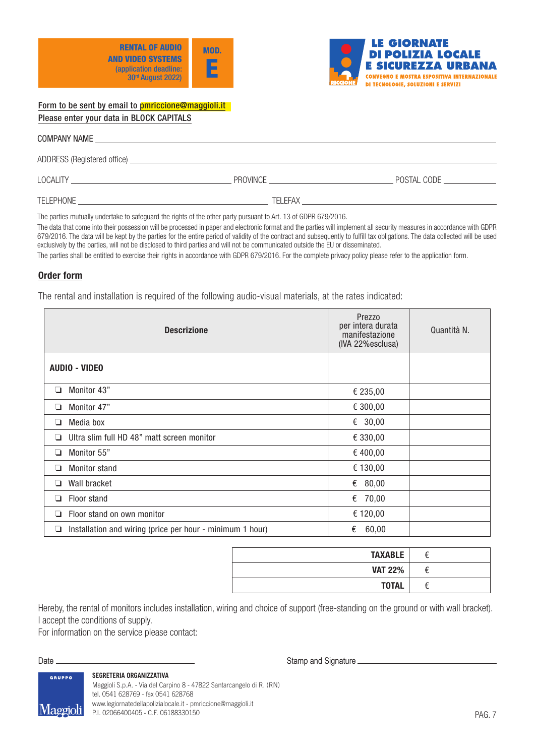



| <b>COMPANY NAME</b>         |                 |             |
|-----------------------------|-----------------|-------------|
| ADDRESS (Registered office) |                 |             |
| <b>LOCALITY</b>             | <b>PROVINCE</b> | POSTAL CODE |

TELEPHONE TELEFAX

The parties mutually undertake to safeguard the rights of the other party pursuant to Art. 13 of GDPR 679/2016.

The data that come into their possession will be processed in paper and electronic format and the parties will implement all security measures in accordance with GDPR 679/2016. The data will be kept by the parties for the entire period of validity of the contract and subsequently to fulfill tax obligations. The data collected will be used exclusively by the parties, will not be disclosed to third parties and will not be communicated outside the EU or disseminated.

The parties shall be entitled to exercise their rights in accordance with GDPR 679/2016. For the complete privacy policy please refer to the application form.

# Order form

The rental and installation is required of the following audio-visual materials, at the rates indicated:

|   | <b>Descrizione</b>                                        | Prezzo<br>per intera durata<br>manifestazione<br>(IVA 22%esclusa) | Quantità N. |
|---|-----------------------------------------------------------|-------------------------------------------------------------------|-------------|
|   | <b>AUDIO - VIDEO</b>                                      |                                                                   |             |
| ❏ | Monitor 43"                                               | € 235,00                                                          |             |
| ⊔ | Monitor 47"                                               | € 300,00                                                          |             |
| ⊔ | Media box                                                 | € 30,00                                                           |             |
|   | Ultra slim full HD 48" matt screen monitor                | € 330,00                                                          |             |
| ⊔ | Monitor 55"                                               | € 400,00                                                          |             |
| ❏ | Monitor stand                                             | € 130,00                                                          |             |
| ⊔ | Wall bracket                                              | € $80,00$                                                         |             |
| ப | Floor stand                                               | € 70,00                                                           |             |
| ப | Floor stand on own monitor                                | € 120,00                                                          |             |
| ⊔ | Installation and wiring (price per hour - minimum 1 hour) | 60,00<br>€                                                        |             |

| <b>TAXABLE</b> |  |
|----------------|--|
| <b>VAT 22%</b> |  |
| <b>TOTAL</b>   |  |

Hereby, the rental of monitors includes installation, wiring and choice of support (free-standing on the ground or with wall bracket). I accept the conditions of supply.

For information on the service please contact:

Date Stamp and Signature

GRUPPO

Maggioli

## **SEGRETERIA ORGANIZZATIVA**

Maggioli S.p.A. - Via del Carpino 8 - 47822 Santarcangelo di R. (RN) tel. 0541 628769 - fax 0541 628768 www.legiornatedellapolizialocale.it - pmriccione@maggioli.it P.I. 02066400405 - C.F. 06188330150

PAG. 7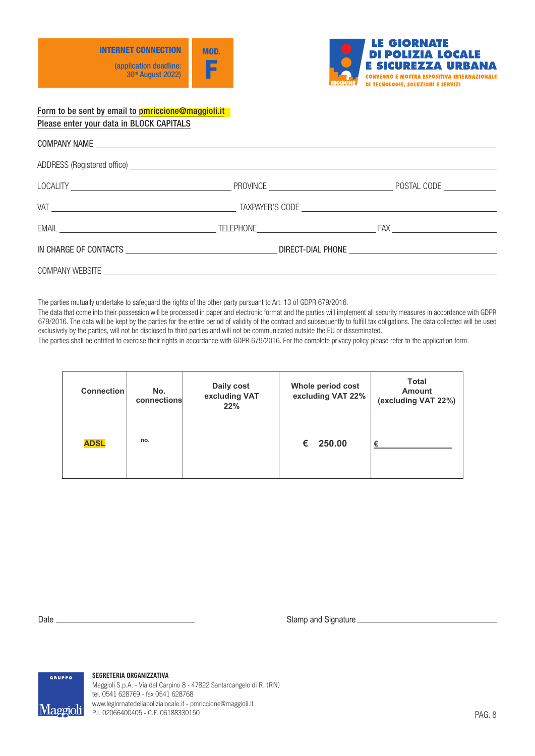



|  | EMAIL EXAMPLE TELEPHONE THE EXAMPLE TRANSPORTED TRACK THE EAST OF THE EXAMPLE TRACK THE EAST OF THE EAST OF THE EAST OF THE EAST OF THE EAST OF THE EAST OF THE EAST OF THE EAST OF THE EAST OF THE EAST OF THE EAST OF THE EA |
|--|--------------------------------------------------------------------------------------------------------------------------------------------------------------------------------------------------------------------------------|
|  |                                                                                                                                                                                                                                |
|  |                                                                                                                                                                                                                                |

The parties mutually undertake to safeguard the rights of the other party pursuant to Art. 13 of GDPR 679/2016.

**Connection No. Daily cost Whole period cost**  exclusively by the parties, will not be disclosed to third parties and will not be communicated outside the EU or disseminated. 679/2016. The data will be kept by the parties for the entire period of validity of the contract and subsequently to fulfill tax obligations. The data collected will be used The data that come into their possession will be processed in paper and electronic format and the parties will implement all security measures in accordance with GDPR OF 9/2010. The data will be kept by the parties for the entire period of validity of the contract and subsequently to fulfill tax obligations. The data collected will be used

e aisciosea to thira parties and will not be communicated outside the EU or disseminated.<br>cise their rights in accordance with GDPR 679/2016. For the complete privacy policy please refer to the app The parties shall be entitled to exercise their rights in accordance with GDPR 679/2016. For the complete privacy policy please refer to the application form. The parties shall be entitled to exercise their rights in accordance with GDPR 679/2010

| <b>Connection</b> | No.<br>connections | Daily cost<br>excluding VAT<br>22% | Whole period cost<br>excluding VAT 22% | Total<br><b>Amount</b><br>(excluding VAT 22%) |
|-------------------|--------------------|------------------------------------|----------------------------------------|-----------------------------------------------|
| <b>ADSL</b>       | no.                |                                    | € 250.00                               | €                                             |

**COMMERCIAL SECRETARY C/O MAGGIOLI GROUP**

Date <u>Stamp and Signature Stamp and Signature Stamp and Signature Stamp and Signature</u>



**SEGRETERIA ORGANIZZATIVA COMMERCIAL SECRETARY COMMERCIAL SECRETARY COMMERCIAL SECRETARY MAGGIOLI GROUP** Maggioli Spa - Via del Carpino 8 - fax 0541 628768 - 4782 Santarcangelo di Rel Carpino 8 - 4782 Santarcangelo

Momedal: www.legiornatedellapolizialocale.it - pmriccione@maggioli.it  $\text{Mdg}$  with P.I. 02066400405 - C.F. 06188330150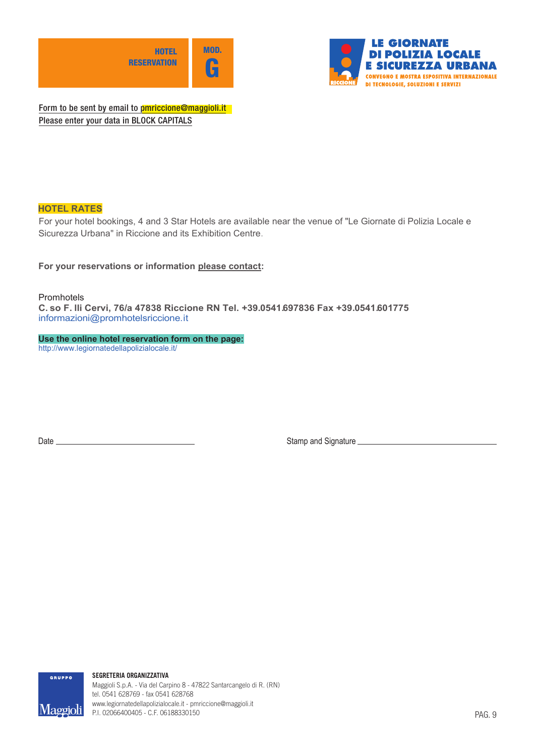



**RESERVATION**  Form to be sent by email to <mark>pmriccione@maggioli.it</mark> Please enter your data in BLOCK CAPITALS

# **HOTEL RATES**

For your hotel bookings, 4 and 3 Star Hotels are available near the venue of "Le Giornate di Polizia Locale e Sicurezza Urbana" in Riccione and its Exhibition Centre.

**For your reservations or information please contact:**

Promhotels

**C. so F. lli Cervi, 76/a 47838 Riccione RN Tel. +39.0541.697836 Fax +39.0541.601775** informazioni@promhotelsriccione.it

**Use the online hotel reservation form on the page:** http://www.legiornatedellapolizialocale.it/

Date <u>Stamp and Signature</u> Stamp and Signature Stamp and Signature Stamp and Signature Stamp and Signature Stamp and Signature Stamp and Signature Stamp and Signature Stamp and Signature Stamp and Signature Stamp and Signa

**GRUPPO** 

<u>Maegioli</u>

**SEGRETERIA ORGANIZZATIVA**

Maggioli S.p.A. - Via del Carpino 8 - 47822 Santarcangelo di R. (RN) tel. 0541 628769 - fax 0541 628768 www.legiornatedellapolizialocale.it - pmriccione@maggioli.it P.I. 02066400405 - C.F. 06188330150